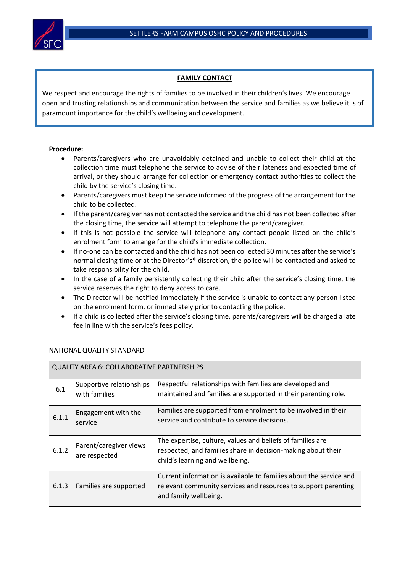

## **FAMILY CONTACT**

We respect and encourage the rights of families to be involved in their children's lives. We encourage open and trusting relationships and communication between the service and families as we believe it is of paramount importance for the child's wellbeing and development.

## **Procedure:**

- Parents/caregivers who are unavoidably detained and unable to collect their child at the collection time must telephone the service to advise of their lateness and expected time of arrival, or they should arrange for collection or emergency contact authorities to collect the child by the service's closing time.
- Parents/caregivers must keep the service informed of the progress of the arrangement for the child to be collected.
- If the parent/caregiver has not contacted the service and the child has not been collected after the closing time, the service will attempt to telephone the parent/caregiver.
- If this is not possible the service will telephone any contact people listed on the child's enrolment form to arrange for the child's immediate collection.
- If no-one can be contacted and the child has not been collected 30 minutes after the service's normal closing time or at the Director's\* discretion, the police will be contacted and asked to take responsibility for the child.
- In the case of a family persistently collecting their child after the service's closing time, the service reserves the right to deny access to care.
- The Director will be notified immediately if the service is unable to contact any person listed on the enrolment form, or immediately prior to contacting the police.
- If a child is collected after the service's closing time, parents/caregivers will be charged a late fee in line with the service's fees policy.

| <b>QUALITY AREA 6: COLLABORATIVE PARTNERSHIPS</b> |                                           |                                                                                                                                                               |  |  |  |
|---------------------------------------------------|-------------------------------------------|---------------------------------------------------------------------------------------------------------------------------------------------------------------|--|--|--|
| 6.1                                               | Supportive relationships<br>with families | Respectful relationships with families are developed and<br>maintained and families are supported in their parenting role.                                    |  |  |  |
| 6.1.1                                             | Engagement with the<br>service            | Families are supported from enrolment to be involved in their<br>service and contribute to service decisions.                                                 |  |  |  |
| 6.1.2                                             | Parent/caregiver views<br>are respected   | The expertise, culture, values and beliefs of families are<br>respected, and families share in decision-making about their<br>child's learning and wellbeing. |  |  |  |
| 6.1.3                                             | Families are supported                    | Current information is available to families about the service and<br>relevant community services and resources to support parenting<br>and family wellbeing. |  |  |  |

## NATIONAL QUALITY STANDARD